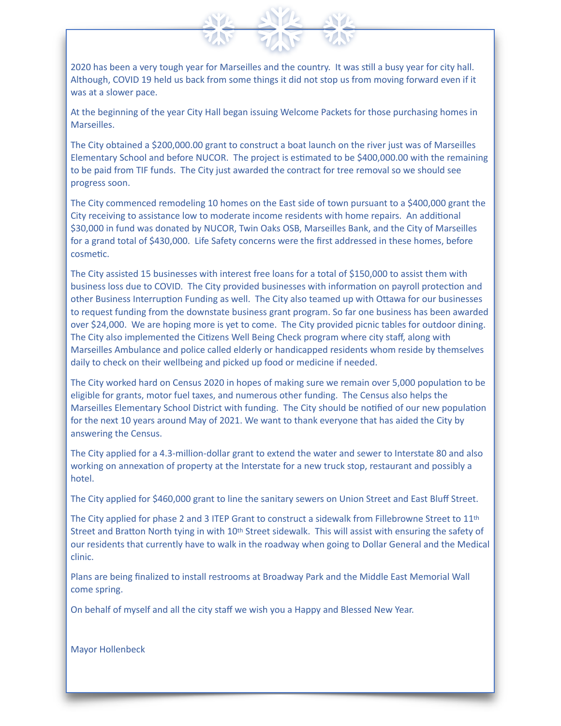2020 has been a very tough year for Marseilles and the country. It was still a busy year for city hall. Although, COVID 19 held us back from some things it did not stop us from moving forward even if it was at a slower pace.

At the beginning of the year City Hall began issuing Welcome Packets for those purchasing homes in Marseilles.

The City obtained a \$200,000.00 grant to construct a boat launch on the river just was of Marseilles Elementary School and before NUCOR. The project is estimated to be \$400,000.00 with the remaining to be paid from TIF funds. The City just awarded the contract for tree removal so we should see progress soon.

The City commenced remodeling 10 homes on the East side of town pursuant to a \$400,000 grant the City receiving to assistance low to moderate income residents with home repairs. An additional \$30,000 in fund was donated by NUCOR, Twin Oaks OSB, Marseilles Bank, and the City of Marseilles for a grand total of \$430,000. Life Safety concerns were the first addressed in these homes, before cosmetic.

The City assisted 15 businesses with interest free loans for a total of \$150,000 to assist them with business loss due to COVID. The City provided businesses with information on payroll protection and other Business Interruption Funding as well. The City also teamed up with Ottawa for our businesses to request funding from the downstate business grant program. So far one business has been awarded over \$24,000. We are hoping more is yet to come. The City provided picnic tables for outdoor dining. The City also implemented the Citizens Well Being Check program where city staff, along with Marseilles Ambulance and police called elderly or handicapped residents whom reside by themselves daily to check on their wellbeing and picked up food or medicine if needed.

The City worked hard on Census 2020 in hopes of making sure we remain over 5,000 population to be eligible for grants, motor fuel taxes, and numerous other funding. The Census also helps the Marseilles Elementary School District with funding. The City should be notified of our new population for the next 10 years around May of 2021. We want to thank everyone that has aided the City by answering the Census.

The City applied for a 4.3-million-dollar grant to extend the water and sewer to Interstate 80 and also working on annexation of property at the Interstate for a new truck stop, restaurant and possibly a hotel.

The City applied for \$460,000 grant to line the sanitary sewers on Union Street and East Bluff Street.

The City applied for phase 2 and 3 ITEP Grant to construct a sidewalk from Fillebrowne Street to 11th Street and Bratton North tying in with 10<sup>th</sup> Street sidewalk. This will assist with ensuring the safety of our residents that currently have to walk in the roadway when going to Dollar General and the Medical clinic.

Plans are being finalized to install restrooms at Broadway Park and the Middle East Memorial Wall come spring.

On behalf of myself and all the city staff we wish you a Happy and Blessed New Year.

Mayor Hollenbeck